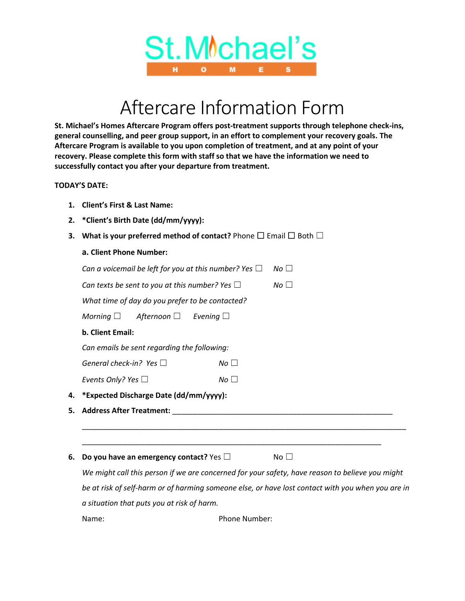

## Aftercare Information Form

**St. Michael's Homes Aftercare Program offers post-treatment supports through telephone check-ins, general counselling, and peer group support, in an effort to complement your recovery goals. The Aftercare Program is available to you upon completion of treatment, and at any point of your recovery. Please complete this form with staff so that we have the information we need to successfully contact you after your departure from treatment.**

## **TODAY'S DATE:**

- **1. Client's First & Last Name:**
- **2. \*Client's Birth Date (dd/mm/yyyy):**
- **3.** What is your preferred method of contact? Phone □ Email □ Both □

## **a. Client Phone Number:**

| Can a voicemail be left for you at this number? Yes $\Box$ |                 | $No \Box$       |  |
|------------------------------------------------------------|-----------------|-----------------|--|
|                                                            |                 |                 |  |
| Can texts be sent to you at this number? Yes $\Box$        |                 | No <sub>1</sub> |  |
| What time of day do you prefer to be contacted?            |                 |                 |  |
| Morning $\Box$<br>Afternoon □                              | Evening $\Box$  |                 |  |
| <b>b. Client Email:</b>                                    |                 |                 |  |
| Can emails be sent regarding the following:                |                 |                 |  |
| General check-in? Yes $\Box$                               | No <sub>1</sub> |                 |  |
| Events Only? Yes $\Box$                                    | $No \Box$       |                 |  |
| 4. *Expected Discharge Date (dd/mm/yyyy):                  |                 |                 |  |
| 5. Address After Treatment:                                |                 |                 |  |

**6. Do you have an emergency contact?** Yes □ No □

*We might call this person if we are concerned for your safety, have reason to believe you might be at risk of self-harm or of harming someone else, or have lost contact with you when you are in a situation that puts you at risk of harm.* Name: Name: Phone Number: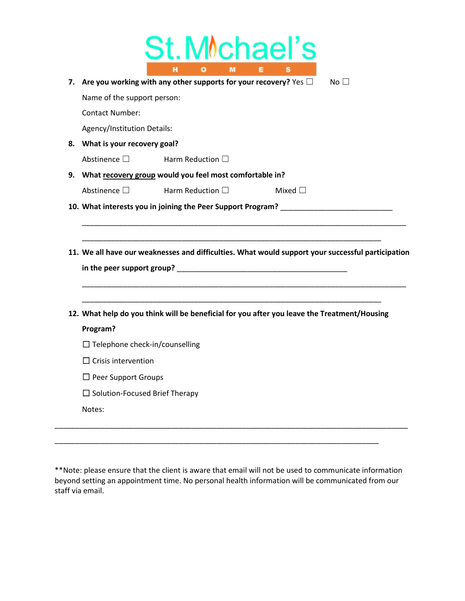| 7. Are you working with any other supports for your recovery? Yes $\Box$<br>$N_O$ $\Box$ |                          |                                                                                                                                                                                       |  |  |  |
|------------------------------------------------------------------------------------------|--------------------------|---------------------------------------------------------------------------------------------------------------------------------------------------------------------------------------|--|--|--|
|                                                                                          |                          |                                                                                                                                                                                       |  |  |  |
| Name of the support person:<br><b>Contact Number:</b>                                    |                          |                                                                                                                                                                                       |  |  |  |
|                                                                                          |                          |                                                                                                                                                                                       |  |  |  |
| Agency/Institution Details:<br>8. What is your recovery goal?                            |                          |                                                                                                                                                                                       |  |  |  |
| Abstinence $\square$                                                                     | Harm Reduction $\square$ |                                                                                                                                                                                       |  |  |  |
| 9. What recovery group would you feel most comfortable in?                               |                          |                                                                                                                                                                                       |  |  |  |
|                                                                                          |                          |                                                                                                                                                                                       |  |  |  |
| Abstinence $\square$                                                                     | Harm Reduction $\square$ | Mixed $\Box$                                                                                                                                                                          |  |  |  |
|                                                                                          |                          | 10. What interests you in joining the Peer Support Program? ____________________<br>11. We all have our weaknesses and difficulties. What would support your successful participation |  |  |  |
|                                                                                          |                          |                                                                                                                                                                                       |  |  |  |
|                                                                                          |                          |                                                                                                                                                                                       |  |  |  |
|                                                                                          |                          | 12. What help do you think will be beneficial for you after you leave the Treatment/Housing                                                                                           |  |  |  |
| Program?                                                                                 |                          |                                                                                                                                                                                       |  |  |  |
| $\Box$ Telephone check-in/counselling                                                    |                          |                                                                                                                                                                                       |  |  |  |
| $\Box$ Crisis intervention                                                               |                          |                                                                                                                                                                                       |  |  |  |
| $\Box$ Peer Support Groups                                                               |                          |                                                                                                                                                                                       |  |  |  |

\*\*Note: please ensure that the client is aware that email will not be used to communicate information beyond setting an appointment time. No personal health information will be communicated from our staff via email.

\_\_\_\_\_\_\_\_\_\_\_\_\_\_\_\_\_\_\_\_\_\_\_\_\_\_\_\_\_\_\_\_\_\_\_\_\_\_\_\_\_\_\_\_\_\_\_\_\_\_\_\_\_\_\_\_\_\_\_\_\_\_\_\_\_\_\_\_\_\_\_\_\_\_\_\_\_\_